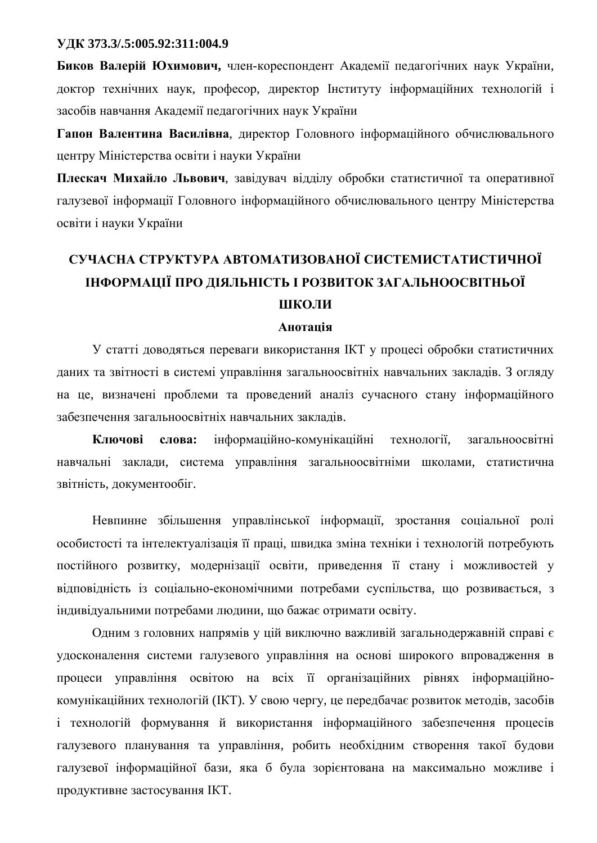#### **ɍȾɄ 373.3/.5:005.92:311:004.9**

**Биков Валерій Юхимович, член-кореспондент Академії педагогічних наук України,** доктор технічних наук, професор, директор Інституту інформаційних технологій і засобів навчання Академії педагогічних наук України

Гапон Валентина Василівна, директор Головного інформаційного обчислювального центру Міністерства освіти і науки України

Плескач Михайло Львович, завідувач відділу обробки статистичної та оперативної галузевої інформації Головного інформаційного обчислювального центру Міністерства освіти і науки України

# СУЧАСНА СТРУКТУРА АВТОМАТИЗОВАНОЇ СИСТЕМИСТАТИСТИЧНОЇ **ІНФОРМАЦІЇ ПРО ДІЯЛЬНІСТЬ І РОЗВИТОК ЗАГАЛЬНООСВІТНЬОЇ ШКОЛИ**

#### Aнотанія

У статті доводяться переваги використання ІКТ у процесі обробки статистичних даних та звітності в системі управління загальноосвітніх навчальних закладів. З огляду на це, визначені проблеми та проведений аналіз сучасного стану інформаційного забезпечення загальноосвітніх навчальних закладів.

Ключові слова: інформаційно-комунікаційні технології, загальноосвітні навчальні заклади, система управління загальноосвітніми школами, статистична звітність, документообіг.

Невпинне збільшення управлінської інформації, зростання соціальної ролі особистості та інтелектуалізація її праці, швидка зміна техніки і технологій потребують постійного розвитку, модернізації освіти, приведення її стану і можливостей у відповідність із соціально-економічними потребами суспільства, що розвивається, з індивідуальними потребами людини, що бажає отримати освіту.

Одним з головних напрямів у цій виключно важливій загальнодержавній справі є удосконалення системи галузевого управління на основі широкого впровадження в процеси управління освітою на всіх її організаційних рівнях інформаційнокомунікаційних технологій (IKT). У свою чергу, це передбачає розвиток методів, засобів і технологій формування й використання інформаційного забезпечення процесів галузевого планування та управління, робить необхідним створення такої будови галузевої інформаційної бази, яка б була зорієнтована на максимально можливе і продуктивне застосування ІКТ.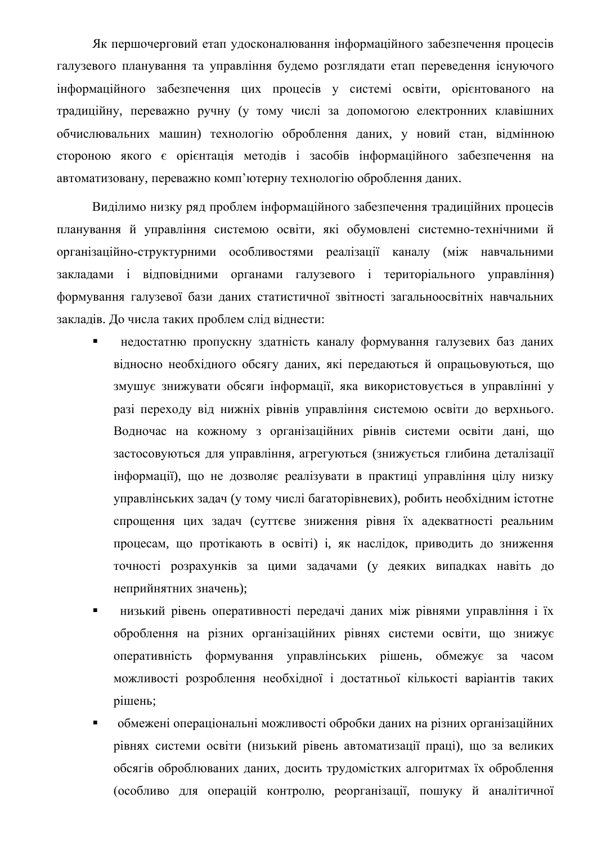Як першочерговий етап удосконалювання інформаційного забезпечення процесів галузевого планування та управління будемо розглядати етап переведення існуючого інформаційного забезпечення цих процесів у системі освіти, орієнтованого на традиційну, переважно ручну (у тому числі за допомогою електронних клавішних обчислювальних машин) технологію оброблення даних, у новий стан, відмінною стороною якого є орієнтація методів і засобів інформаційного забезпечення на автоматизовану, переважно комп'ютерну технологію оброблення даних.

Виділимо низку ряд проблем інформаційного забезпечення традиційних процесів планування й управління системою освіти, які обумовлені системно-технічними й організаційно-структурними особливостями реалізації каналу (між навчальними закладами і відповідними органами галузевого і територіального управління) формування галузевої бази даних статистичної звітності загальноосвітніх навчальних закладів. До числа таких проблем слід віднести:

- недостатню пропускну здатність каналу формування галузевих баз даних відносно необхідного обсягу даних, які передаються й опрацьовуються, що змушує знижувати обсяги інформації, яка використовується в управлінні у разі переходу від нижніх рівнів управління системою освіти до верхнього. Водночас на кожному з організаційних рівнів системи освіти дані, що застосовуються для управління, агрегуються (знижується глибина деталізації інформації), що не дозволяє реалізувати в практиці управління цілу низку үправлінських задач (у тому числі багаторівневих), робить необхідним істотне спрощення цих задач (суттєве зниження рівня їх адекватності реальним процесам, що протікають в освіті) і, як наслідок, приводить до зниження точності розрахунків за цими задачами (у деяких випадках навіть до неприйнятних значень);
- низький рівень оперативності передачі даних між рівнями управління і їх оброблення на різних організаційних рівнях системи освіти, що знижує оперативність формування управлінських рішень, обмежує за часом можливості розроблення необхідної і достатньої кількості варіантів таких рішень;
- обмежені операціональні можливості обробки даних на різних організаційних рівнях системи освіти (низький рівень автоматизації праці), що за великих обсягів оброблюваних даних, досить трудомістких алгоритмах їх оброблення (особливо для операцій контролю, реорганізації, пошуку й аналітичної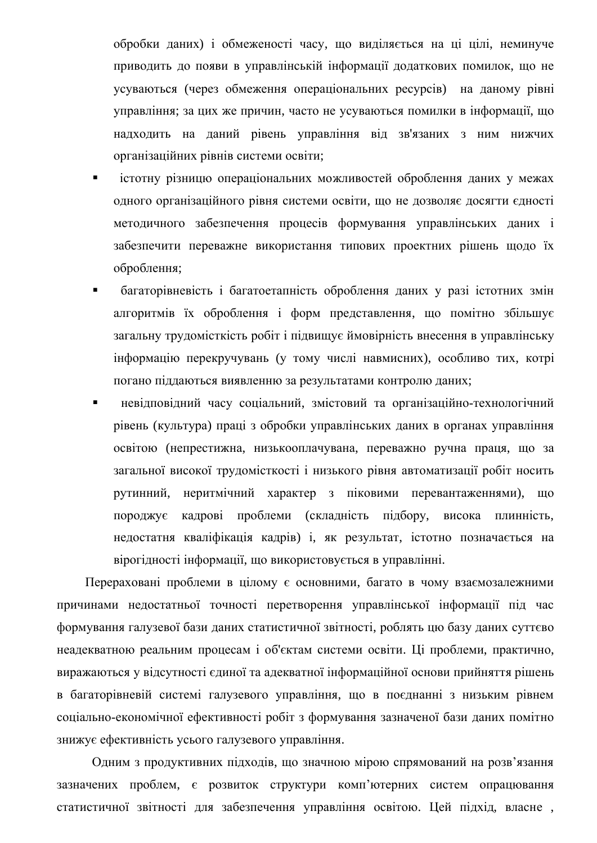обробки даних) і обмеженості часу, що виділяється на ці цілі, неминуче приводить до появи в управлінській інформації додаткових помилок, що не усуваються (через обмеження операціональних ресурсів) на даному рівні управління; за цих же причин, часто не усуваються помилки в інформації, що надходить на даний рівень управління від зв'язаних з ним нижчих організаційних рівнів системи освіти;

- істотну різницю операціональних можливостей оброблення даних у межах одного організаційного рівня системи освіти, що не дозволяє досягти єдності методичного забезпечення процесів формування управлінських даних і забезпечити переважне використання типових проектних рішень щодо їх оброблення;
- багаторівневість і багатоетапність оброблення даних у разі істотних змін алгоритмів їх оброблення і форм представлення, що помітно збільшує загальну трудомісткість робіт і підвищує ймовірність внесення в управлінську інформацію перекручувань (у тому числі навмисних), особливо тих, котрі погано піддаються виявленню за результатами контролю даних;
- невідповідний часу соціальний, змістовий та організаційно-технологічний рівень (культура) праці з обробки управлінських даних в органах управління освітою (непрестижна, низькооплачувана, переважно ручна праця, що за загальної високої трудомісткості і низького рівня автоматизації робіт носить рутинний, неритмічний характер з піковими перевантаженнями), що породжує кадрові проблеми (складність підбору, висока плинність, недостатня кваліфікація кадрів) і, як результат, істотно позначається на вірогідності інформації, що використовується в управлінні.

Перераховані проблеми в цілому є основними, багато в чому взаємозалежними причинами недостатньої точності перетворення управлінської інформації під час формування галузевої бази даних статистичної звітності, роблять цю базу даних суттєво неадекватною реальним процесам і об'єктам системи освіти. Ці проблеми, практично, виражаються у відсутності єдиної та адекватної інформаційної основи прийняття рішень в багаторівневій системі галузевого управління, що в поєднанні з низьким рівнем соціально-економічної ефективності робіт з формування зазначеної бази даних помітно знижує ефективність усього галузевого управління.

Одним з продуктивних підходів, що значною мірою спрямований на розв'язання зазначених проблем, є розвиток структури комп'ютерних систем опрацювання статистичної звітності для забезпечення управління освітою. Цей підхід, власне,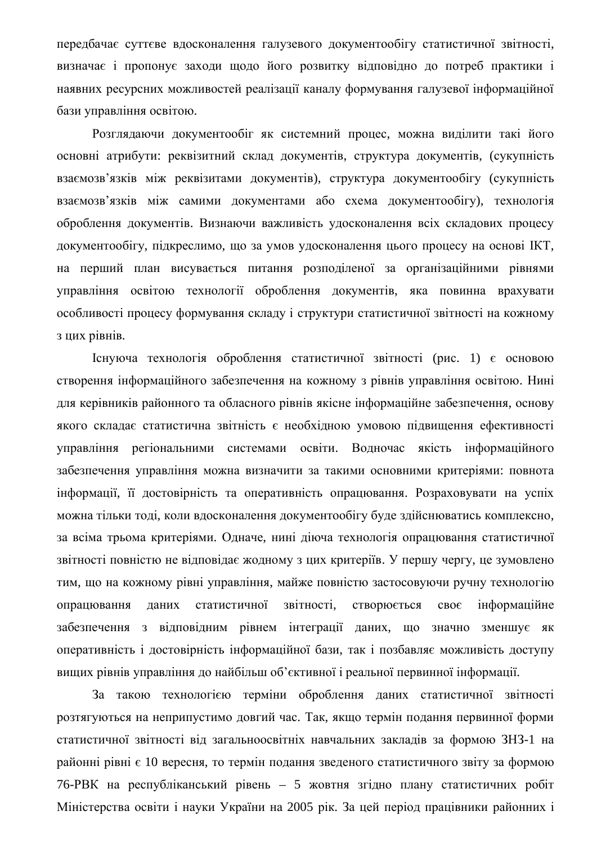передбачає суттєве вдосконалення галузевого документообігу статистичної звітності, визначає і пропонує заходи щодо його розвитку відповідно до потреб практики і наявних ресурсних можливостей реалізації каналу формування галузевої інформаційної бази управління освітою.

Розглядаючи документообіг як системний процес, можна виділити такі його основні атрибути: реквізитний склад документів, структура документів, (сукупність взаємозв'язків між реквізитами документів), структура документообігу (сукупність взаємозв'язків між самими документами або схема документообігу), технологія оброблення документів. Визнаючи важливість удосконалення всіх складових процесу документообігу, підкреслимо, що за умов удосконалення цього процесу на основі ІКТ, на перший план висувається питання розподіленої за організаційними рівнями управління освітою технології оброблення документів, яка повинна врахувати особливості процесу формування складу і структури статистичної звітності на кожному з цих рівнів.

 $I$ снуюча технологія оброблення статистичної звітності (рис. 1) є основою створення інформаційного забезпечення на кожному з рівнів управління освітою. Нині для керівників районного та обласного рівнів якісне інформаційне забезпечення, основу якого складає статистична звітність є необхідною умовою підвищення ефективності управління регіональними системами освіти. Водночас якість інформаційного забезпечення управління можна визначити за такими основними критеріями: повнота інформації, її достовірність та оперативність опрацювання. Розраховувати на успіх можна тільки тоді, коли вдосконалення документообігу буде здійснюватись комплексно, за всіма трьома критеріями. Одначе, нині діюча технологія опрацювання статистичної звітності повністю не відповідає жодному з цих критеріїв. У першу чергу, це зумовлено тим, що на кожному рівні управління, майже повністю застосовуючи ручну технологію опрацювання даних статистичної звітності, створюється своє інформаційне забезпечення з відповідним рівнем інтеграції даних, що значно зменшує як оперативність і достовірність інформаційної бази, так і позбавляє можливість доступу вищих рівнів управління до найбільш об'єктивної і реальної первинної інформації.

За такою технологією терміни оброблення даних статистичної звітності розтягуються на неприпустимо довгий час. Так, якщо термін подання первинної форми статистичної звітності від загальноосвітніх навчальних закладів за формою ЗНЗ-1 на районні рівні є 10 вересня, то термін подання зведеного статистичного звіту за формою 76-РВК на республіканський рівень – 5 жовтня згідно плану статистичних робіт Міністерства освіти і науки України на 2005 рік. За цей період працівники районних і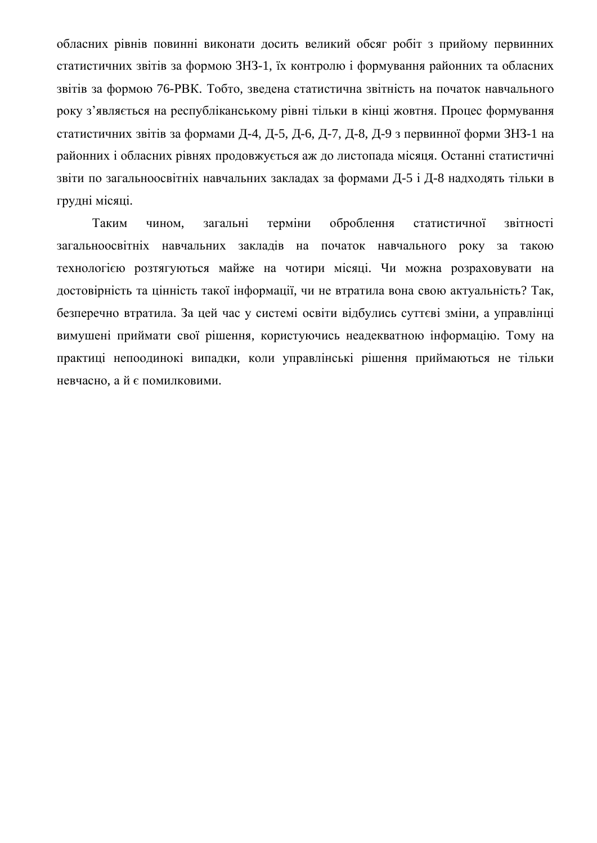обласних рівнів повинні виконати досить великий обсяг робіт з прийому первинних статистичних звітів за формою ЗНЗ-1, їх контролю і формування районних та обласних звітів за формою 76-РВК. Тобто, зведена статистична звітність на початок навчального року з'являється на республіканському рівні тільки в кінці жовтня. Процес формування статистичних звітів за формами Д-4, Д-5, Д-6, Д-7, Д-8, Д-9 з первинної форми ЗНЗ-1 на районних і обласних рівнях продовжується аж до листопада місяця. Останні статистичні звіти по загальноосвітніх навчальних закладах за формами Д-5 і Д-8 надходять тільки в грудні місяці.

Таким чином, загальні терміни оброблення статистичної звітності загальноосвітніх навчальних закладів на початок навчального року за такою технологією розтягуються майже на чотири місяці. Чи можна розраховувати на достовірність та цінність такої інформації, чи не втратила вона свою актуальність? Так, безперечно втратила. За цей час у системі освіти відбулись суттєві зміни, а управлінці вимушені приймати свої рішення, користуючись неадекватною інформацію. Тому на практиці непоодинокі випадки, коли управлінські рішення приймаються не тільки невчасно, а й є помилковими.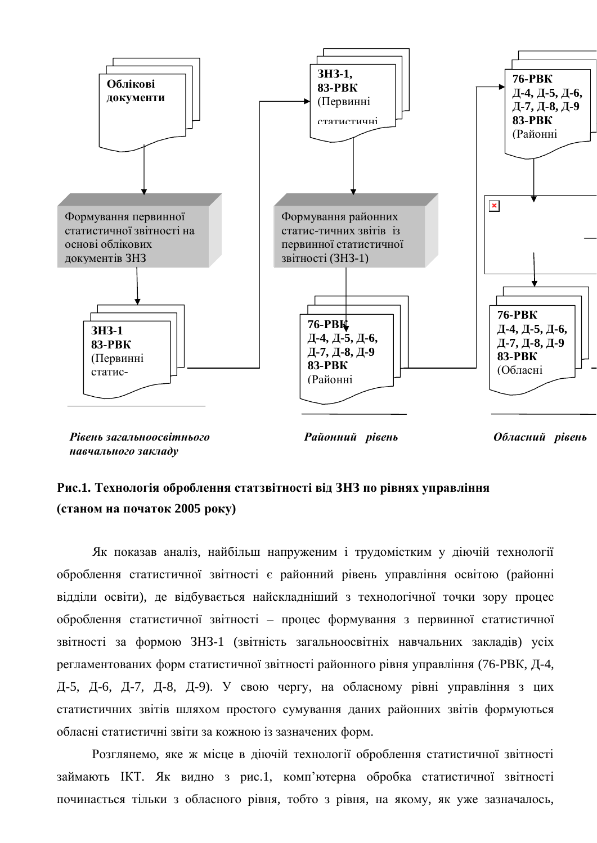

 $H$ *авчального закладу* 

 $O$ *бласний* рівень

### Рис.1. Технологія оброблення статзвітності віл ЗНЗ по рівнях управління **(станом на початок 2005 року)**

Як показав аналіз, найбільш напруженим і трудомістким у діючій технології оброблення статистичної звітності є районний рівень управління освітою (районні відділи освіти), де відбувається найскладніший з технологічної точки зору процес оброблення статистичної звітності – процес формування з первинної статистичної звітності за формою ЗНЗ-1 (звітність загальноосвітніх навчальних закладів) усіх регламентованих форм статистичної звітності районного рівня управління (76-РВК, Д-4, Д-5, Д-6, Д-7, Д-8, Д-9). У свою чергу, на обласному рівні управління з цих статистичних звітів шляхом простого сумування даних районних звітів формуються обласні статистичні звіти за кожною із зазначених форм.

Розглянемо, яке ж місце в діючій технології оброблення статистичної звітності займають IKT. Як видно з рис.1, комп'ютерна обробка статистичної звітності починається тільки з обласного рівня, тобто з рівня, на якому, як уже зазначалось,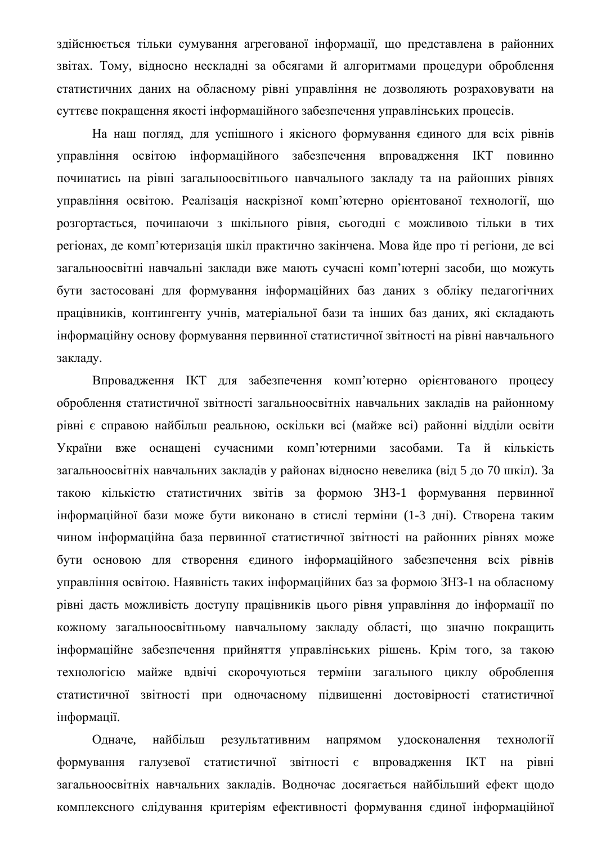здійснюється тільки сумування агрегованої інформації, що представлена в районних звітах. Тому, відносно нескладні за обсягами й алгоритмами процедури оброблення статистичних даних на обласному рівні управління не дозволяють розраховувати на суттєве покращення якості інформаційного забезпечення управлінських процесів.

На наш погляд, для успішного і якісного формування єдиного для всіх рівнів управління освітою інформаційного забезпечення впровадження ІКТ повинно починатись на рівні загальноосвітнього навчального закладу та на районних рівнях управління освітою. Реалізація наскрізної комп'ютерно орієнтованої технології, що розгортається, починаючи з шкільного рівня, сьогодні є можливою тільки в тих регіонах, де комп'ютеризація шкіл практично закінчена. Мова йде про ті регіони, де всі загальноосвітні навчальні заклади вже мають сучасні комп'ютерні засоби, що можуть бути застосовані для формування інформаційних баз даних з обліку педагогічних працівників, контингенту учнів, матеріальної бази та інших баз даних, які складають інформаційну основу формування первинної статистичної звітності на рівні навчального закладу.

Впровадження ІКТ для забезпечення комп'ютерно орієнтованого процесу оброблення статистичної звітності загальноосвітніх навчальних закладів на районному рівні є справою найбільш реальною, оскільки всі (майже всі) районні відділи освіти України вже оснащені сучасними комп'ютерними засобами. Та й кількість загальноосвітніх навчальних закладів у районах відносно невелика (від 5 до 70 шкіл). За такою кількістю статистичних звітів за формою ЗНЗ-1 формування первинної інформаційної бази може бути виконано в стислі терміни (1-3 дні). Створена таким чином інформаційна база первинної статистичної звітності на районних рівнях може бути основою для створення єдиного інформаційного забезпечення всіх рівнів управління освітою. Наявність таких інформаційних баз за формою ЗНЗ-1 на обласному рівні дасть можливість доступу працівників цього рівня управління до інформації по кожному загальноосвітньому навчальному закладу області, що значно покращить інформаційне забезпечення прийняття управлінських рішень. Крім того, за такою технологією майже вдвічі скорочуються терміни загального циклу оброблення статистичної звітності при одночасному підвищенні достовірності статистичної інформації.

Одначе, найбільш результативним напрямом удосконалення технології формування галузевої статистичної звітності є впровадження ІКТ на рівні загальноосвітніх навчальних закладів. Водночас досягається найбільший ефект щодо комплексного слідування критеріям ефективності формування єдиної інформаційної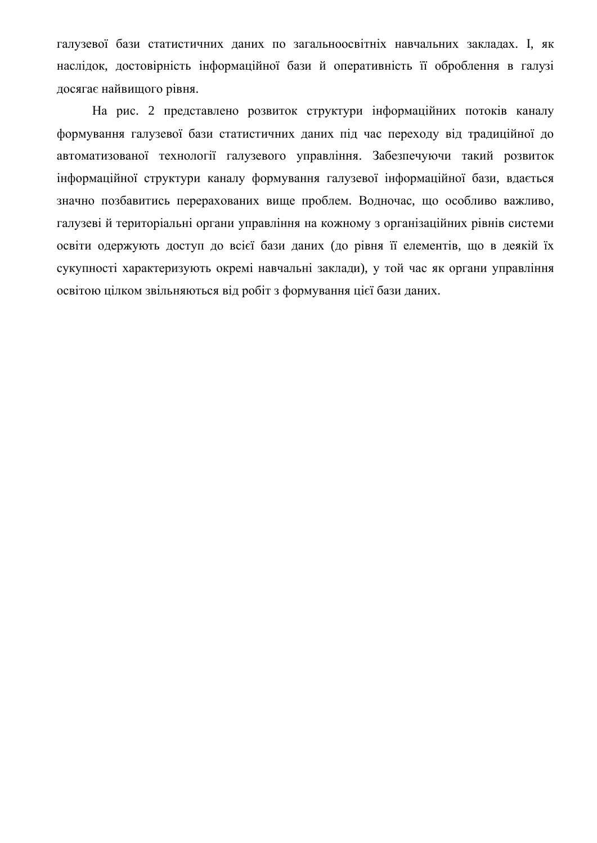галузевої бази статистичних даних по загальноосвітніх навчальних закладах. І, як наслідок, достовірність інформаційної бази й оперативність її оброблення в галузі досягає найвищого рівня.

На рис. 2 представлено розвиток структури інформаційних потоків каналу формування галузевої бази статистичних даних під час переходу від традиційної до автоматизованої технології галузевого управління. Забезпечуючи такий розвиток інформаційної структури каналу формування галузевої інформаційної бази, вдається значно позбавитись перерахованих вище проблем. Водночас, що особливо важливо, галузеві й територіальні органи управління на кожному з організаційних рівнів системи освіти одержують доступ до всієї бази даних (до рівня її елементів, що в деякій їх сукупності характеризують окремі навчальні заклади), у той час як органи управління освітою цілком звільняються від робіт з формування цієї бази даних.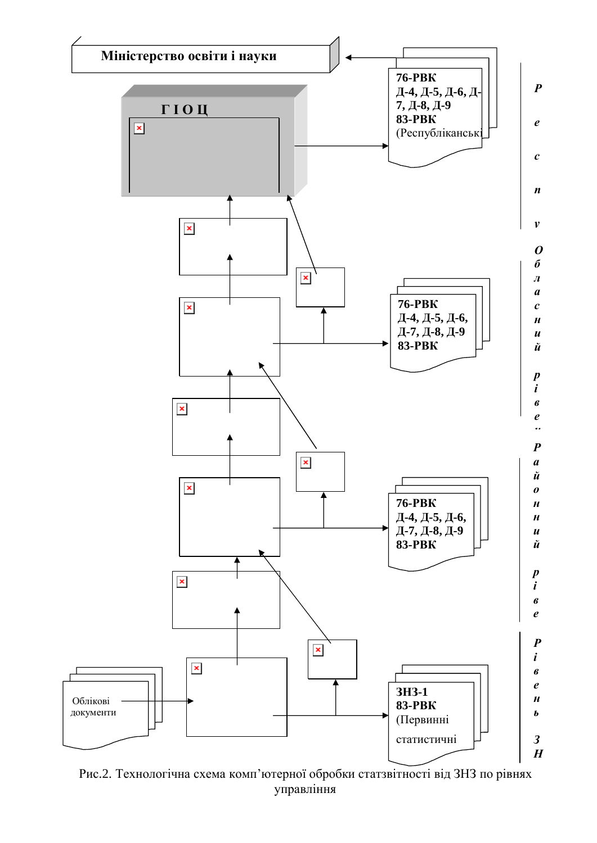

Рис.2. Технологічна схема комп'ютерної обробки статзвітності від ЗНЗ по рівнях управління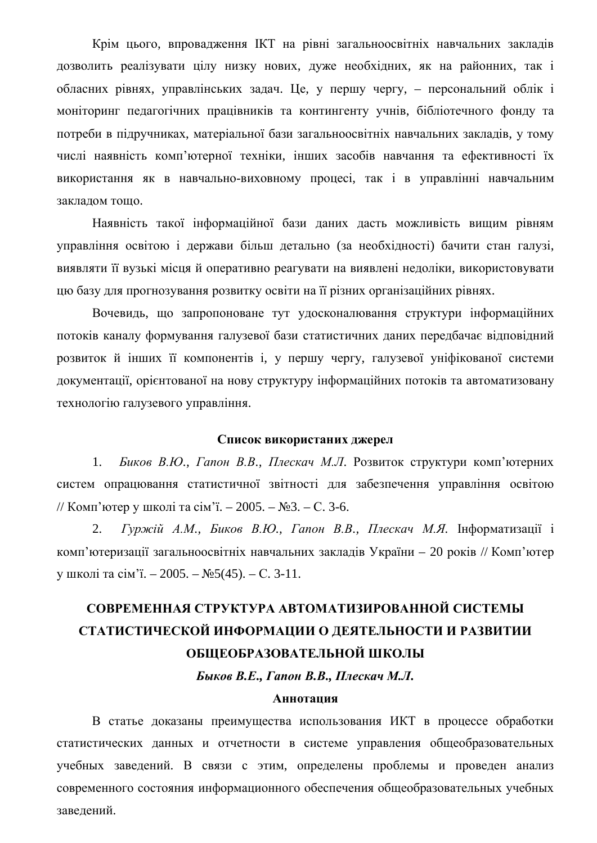Крім цього, впровадження ІКТ на рівні загальноосвітніх навчальних закладів дозволить реалізувати цілу низку нових, дуже необхідних, як на районних, так і обласних рівнях, управлінських задач. Це, у першу чергу, – персональний облік і моніторинг педагогічних працівників та контингенту учнів, бібліотечного фонду та потреби в підручниках, матеріальної бази загальноосвітніх навчальних закладів, у тому числі наявність комп'ютерної техніки, інших засобів навчання та ефективності їх використання як в навчально-виховному процесі, так і в управлінні навчальним закладом тощо.

Наявність такої інформаційної бази даних дасть можливість вищим рівням управління освітою і держави більш детально (за необхідності) бачити стан галузі, виявляти її вузькі місця й оперативно реагувати на виявлені недоліки, використовувати цю базу для прогнозування розвитку освіти на її різних організаційних рівнях.

Вочевидь, що запропоноване тут удосконалювання структури інформаційних потоків каналу формування галузевої бази статистичних даних передбачає відповідний розвиток й інших її компонентів і, у першу чергу, галузевої уніфікованої системи документації, орієнтованої на нову структуру інформаційних потоків та автоматизовану технологію галузевого управління.

#### Список використаних джерел

1. *Биков В.Ю., Гапон В.В., Плескач М.Л.* Розвиток структури комп'ютерних систем опрацювання статистичної звітності для забезпечення управління освітою // Комп'ютер у школі та сім'ї. – 2005. – №3. – С. 3-6.

2. *Гуржий А.М., Биков В.Ю., Гапон В.В., Плескач М.Я.* Інформатизації і комп'ютеризації загальноосвітніх навчальних закладів України – 20 років // Комп'ютер у школі та сім'ї. − 2005. – №5(45). – С. 3-11.

## СОВРЕМЕННАЯ СТРУКТУРА АВТОМАТИЗИРОВАННОЙ СИСТЕМЫ СТАТИСТИЧЕСКОЙ ИНФОРМАЦИИ О ДЕЯТЕЛЬНОСТИ И РАЗВИТИИ ОБШЕОБРАЗОВАТЕЛЬНОЙ ШКОЛЫ

**Быков В.Е., Гапон В.В., Плескач М.Л.** 

#### **Аннотания**

В статье доказаны преимущества использования ИКТ в процессе обработки статистических данных и отчетности в системе управления общеобразовательных учебных заведений. В связи с этим, определены проблемы и проведен анализ современного состояния информационного обеспечения общеобразовательных учебных заведений.